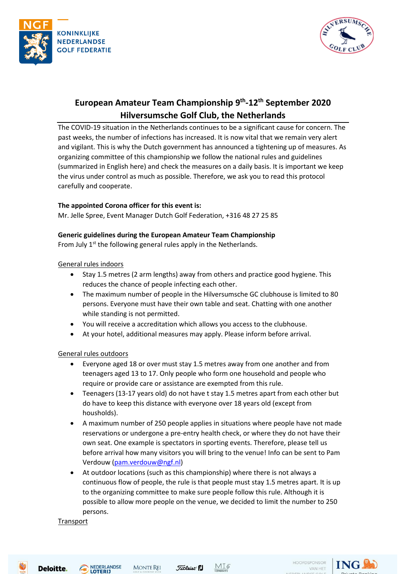



# **European Amateur Team Championship 9th -12th September 2020 Hilversumsche Golf Club, the Netherlands**

The COVID-19 situation in the Netherlands continues to be a significant cause for concern. The past weeks, the number of infections has increased. It is now vital that we remain very alert and vigilant. This is why the Dutch government has announced a tightening up of measures. As organizing committee of this championship we follow the national rules and guidelines (summarized in English here) and check the measures on a daily basis. It is important we keep the virus under control as much as possible. Therefore, we ask you to read this protocol carefully and cooperate.

# **The appointed Corona officer for this event is:**

Mr. Jelle Spree, Event Manager Dutch Golf Federation, +316 48 27 25 85

# **Generic guidelines during the European Amateur Team Championship**

From July  $1<sup>st</sup>$  the following general rules apply in the Netherlands.

### General rules indoors

- Stay 1.5 metres (2 arm lengths) away from others and practice good hygiene. This reduces the chance of people infecting each other.
- The maximum number of people in the Hilversumsche GC clubhouse is limited to 80 persons. Everyone must have their own table and seat. Chatting with one another while standing is not permitted.
- You will receive a accreditation which allows you access to the clubhouse.
- At your hotel, additional measures may apply. Please inform before arrival.

# General rules outdoors

- Everyone aged 18 or over must stay 1.5 metres away from one another and from teenagers aged 13 to 17. Only people who form one household and people who require or provide care or assistance are exempted from this rule.
- Teenagers (13-17 years old) do not have t stay 1.5 metres apart from each other but do have to keep this distance with everyone over 18 years old (except from housholds).
- A maximum number of 250 people applies in situations where people have not made reservations or undergone a pre-entry health check, or where they do not have their own seat. One example is spectators in sporting events. Therefore, please tell us before arrival how many visitors you will bring to the venue! Info can be sent to Pam Verdouw [\(pam.verdouw@ngf.nl\)](mailto:pam.verdouw@ngf.nl)
- At outdoor locations (such as this championship) where there is not always a continuous flow of people, the rule is that people must stay 1.5 metres apart. It is up to the organizing committee to make sure people follow this rule. Although it is possible to allow more people on the venue, we decided to limit the number to 250 persons.

**Transport** 

Deloitte.







HOOFDSPONSOR VAN HET

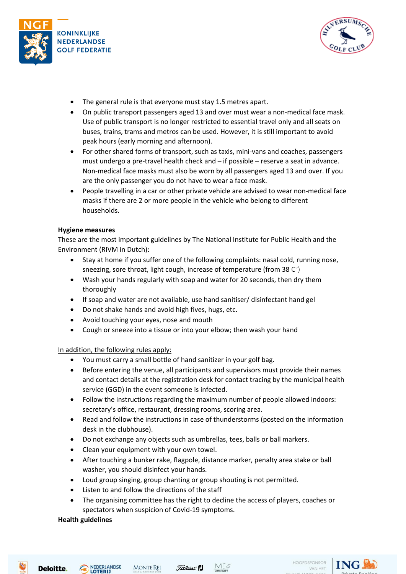



- The general rule is that everyone must stay 1.5 metres apart.
- On public transport passengers aged 13 and over must wear a non-medical face mask. Use of public transport is no longer restricted to essential travel only and all seats on buses, trains, trams and metros can be used. However, it is still important to avoid peak hours (early morning and afternoon).
- For other shared forms of transport, such as taxis, mini-vans and coaches, passengers must undergo a pre-travel health check and – if possible – reserve a seat in advance. Non-medical face masks must also be worn by all passengers aged 13 and over. If you are the only passenger you do not have to wear a face mask.
- People travelling in a car or other private vehicle are advised to wear non-medical face masks if there are 2 or more people in the vehicle who belong to different households.

### **Hygiene measures**

These are the most important guidelines by The National Institute for Public Health and the Environment (RIVM in Dutch):

- Stay at home if you suffer one of the following complaints: nasal cold, running nose, sneezing, sore throat, light cough, increase of temperature (from 38 C°)
- Wash your hands regularly with soap and water for 20 seconds, then dry them thoroughly
- If soap and water are not available, use hand sanitiser/ disinfectant hand gel
- Do not shake hands and avoid high fives, hugs, etc.
- Avoid touching your eyes, nose and mouth
- Cough or sneeze into a tissue or into your elbow; then wash your hand

In addition, the following rules apply:

- You must carry a small bottle of hand sanitizer in your golf bag.
- Before entering the venue, all participants and supervisors must provide their names and contact details at the registration desk for contact tracing by the municipal health service (GGD) in the event someone is infected.
- Follow the instructions regarding the maximum number of people allowed indoors: secretary's office, restaurant, dressing rooms, scoring area.
- Read and follow the instructions in case of thunderstorms (posted on the information desk in the clubhouse).
- Do not exchange any objects such as umbrellas, tees, balls or ball markers.
- Clean your equipment with your own towel.
- After touching a bunker rake, flagpole, distance marker, penalty area stake or ball washer, you should disinfect your hands.
- Loud group singing, group chanting or group shouting is not permitted.
- Listen to and follow the directions of the staff
- The organising committee has the right to decline the access of players, coaches or spectators when suspicion of Covid-19 symptoms.

# **Health guidelines**

Deloitte.